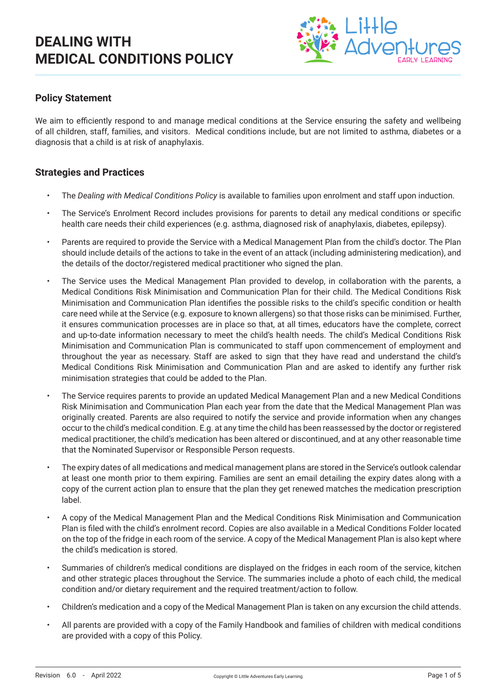

### **Policy Statement**

We aim to efficiently respond to and manage medical conditions at the Service ensuring the safety and wellbeing of all children, staff, families, and visitors. Medical conditions include, but are not limited to asthma, diabetes or a diagnosis that a child is at risk of anaphylaxis.

#### **Strategies and Practices**

- The *Dealing with Medical Conditions Policy* is available to families upon enrolment and staff upon induction.
- The Service's Enrolment Record includes provisions for parents to detail any medical conditions or specific health care needs their child experiences (e.g. asthma, diagnosed risk of anaphylaxis, diabetes, epilepsy).
- Parents are required to provide the Service with a Medical Management Plan from the child's doctor. The Plan should include details of the actions to take in the event of an attack (including administering medication), and the details of the doctor/registered medical practitioner who signed the plan.
- The Service uses the Medical Management Plan provided to develop, in collaboration with the parents, a Medical Conditions Risk Minimisation and Communication Plan for their child. The Medical Conditions Risk Minimisation and Communication Plan identifies the possible risks to the child's specific condition or health care need while at the Service (e.g. exposure to known allergens) so that those risks can be minimised. Further, it ensures communication processes are in place so that, at all times, educators have the complete, correct and up-to-date information necessary to meet the child's health needs. The child's Medical Conditions Risk Minimisation and Communication Plan is communicated to staff upon commencement of employment and throughout the year as necessary. Staff are asked to sign that they have read and understand the child's Medical Conditions Risk Minimisation and Communication Plan and are asked to identify any further risk minimisation strategies that could be added to the Plan.
- The Service requires parents to provide an updated Medical Management Plan and a new Medical Conditions Risk Minimisation and Communication Plan each year from the date that the Medical Management Plan was originally created. Parents are also required to notify the service and provide information when any changes occur to the child's medical condition. E.g. at any time the child has been reassessed by the doctor or registered medical practitioner, the child's medication has been altered or discontinued, and at any other reasonable time that the Nominated Supervisor or Responsible Person requests.
- The expiry dates of all medications and medical management plans are stored in the Service's outlook calendar at least one month prior to them expiring. Families are sent an email detailing the expiry dates along with a copy of the current action plan to ensure that the plan they get renewed matches the medication prescription label.
- A copy of the Medical Management Plan and the Medical Conditions Risk Minimisation and Communication Plan is filed with the child's enrolment record. Copies are also available in a Medical Conditions Folder located on the top of the fridge in each room of the service. A copy of the Medical Management Plan is also kept where the child's medication is stored.
- Summaries of children's medical conditions are displayed on the fridges in each room of the service, kitchen and other strategic places throughout the Service. The summaries include a photo of each child, the medical condition and/or dietary requirement and the required treatment/action to follow.
- Children's medication and a copy of the Medical Management Plan is taken on any excursion the child attends.
- All parents are provided with a copy of the Family Handbook and families of children with medical conditions are provided with a copy of this Policy.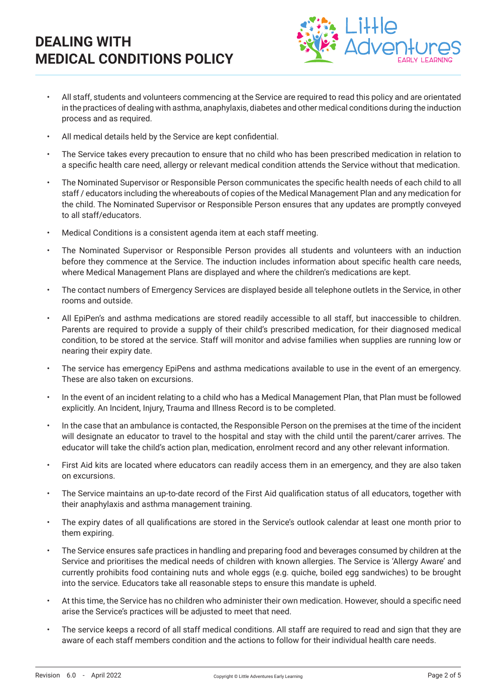

- All staff, students and volunteers commencing at the Service are required to read this policy and are orientated in the practices of dealing with asthma, anaphylaxis, diabetes and other medical conditions during the induction process and as required.
- All medical details held by the Service are kept confidential.
- The Service takes every precaution to ensure that no child who has been prescribed medication in relation to a specific health care need, allergy or relevant medical condition attends the Service without that medication.
- The Nominated Supervisor or Responsible Person communicates the specific health needs of each child to all staff / educators including the whereabouts of copies of the Medical Management Plan and any medication for the child. The Nominated Supervisor or Responsible Person ensures that any updates are promptly conveyed to all staff/educators.
- Medical Conditions is a consistent agenda item at each staff meeting.
- The Nominated Supervisor or Responsible Person provides all students and volunteers with an induction before they commence at the Service. The induction includes information about specific health care needs, where Medical Management Plans are displayed and where the children's medications are kept.
- The contact numbers of Emergency Services are displayed beside all telephone outlets in the Service, in other rooms and outside.
- All EpiPen's and asthma medications are stored readily accessible to all staff, but inaccessible to children. Parents are required to provide a supply of their child's prescribed medication, for their diagnosed medical condition, to be stored at the service. Staff will monitor and advise families when supplies are running low or nearing their expiry date.
- The service has emergency EpiPens and asthma medications available to use in the event of an emergency. These are also taken on excursions.
- In the event of an incident relating to a child who has a Medical Management Plan, that Plan must be followed explicitly. An Incident, Injury, Trauma and Illness Record is to be completed.
- In the case that an ambulance is contacted, the Responsible Person on the premises at the time of the incident will designate an educator to travel to the hospital and stay with the child until the parent/carer arrives. The educator will take the child's action plan, medication, enrolment record and any other relevant information.
- First Aid kits are located where educators can readily access them in an emergency, and they are also taken on excursions.
- The Service maintains an up-to-date record of the First Aid qualification status of all educators, together with their anaphylaxis and asthma management training.
- The expiry dates of all qualifications are stored in the Service's outlook calendar at least one month prior to them expiring.
- The Service ensures safe practices in handling and preparing food and beverages consumed by children at the Service and prioritises the medical needs of children with known allergies. The Service is 'Allergy Aware' and currently prohibits food containing nuts and whole eggs (e.g. quiche, boiled egg sandwiches) to be brought into the service. Educators take all reasonable steps to ensure this mandate is upheld.
- At this time, the Service has no children who administer their own medication. However, should a specific need arise the Service's practices will be adjusted to meet that need.
- The service keeps a record of all staff medical conditions. All staff are required to read and sign that they are aware of each staff members condition and the actions to follow for their individual health care needs.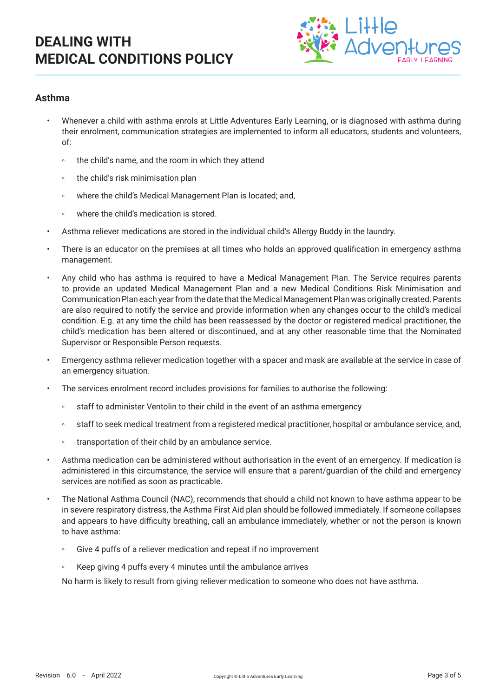

### **Asthma**

- Whenever a child with asthma enrols at Little Adventures Early Learning, or is diagnosed with asthma during their enrolment, communication strategies are implemented to inform all educators, students and volunteers, of:
	- the child's name, and the room in which they attend
	- the child's risk minimisation plan
	- where the child's Medical Management Plan is located; and,
	- where the child's medication is stored.
- Asthma reliever medications are stored in the individual child's Allergy Buddy in the laundry.
- There is an educator on the premises at all times who holds an approved qualification in emergency asthma management.
- Any child who has asthma is required to have a Medical Management Plan. The Service requires parents to provide an updated Medical Management Plan and a new Medical Conditions Risk Minimisation and Communication Plan each year from the date that the Medical Management Plan was originally created. Parents are also required to notify the service and provide information when any changes occur to the child's medical condition. E.g. at any time the child has been reassessed by the doctor or registered medical practitioner, the child's medication has been altered or discontinued, and at any other reasonable time that the Nominated Supervisor or Responsible Person requests.
- Emergency asthma reliever medication together with a spacer and mask are available at the service in case of an emergency situation.
- The services enrolment record includes provisions for families to authorise the following:
	- staff to administer Ventolin to their child in the event of an asthma emergency
	- staff to seek medical treatment from a registered medical practitioner, hospital or ambulance service; and,
	- transportation of their child by an ambulance service.
- Asthma medication can be administered without authorisation in the event of an emergency. If medication is administered in this circumstance, the service will ensure that a parent/guardian of the child and emergency services are notified as soon as practicable.
- The National Asthma Council (NAC), recommends that should a child not known to have asthma appear to be in severe respiratory distress, the Asthma First Aid plan should be followed immediately. If someone collapses and appears to have difficulty breathing, call an ambulance immediately, whether or not the person is known to have asthma:
	- Give 4 puffs of a reliever medication and repeat if no improvement
	- Keep giving 4 puffs every 4 minutes until the ambulance arrives

No harm is likely to result from giving reliever medication to someone who does not have asthma.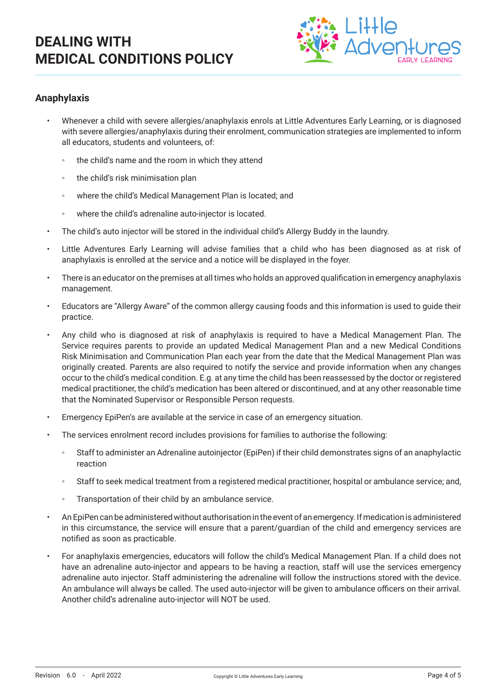

### **Anaphylaxis**

- Whenever a child with severe allergies/anaphylaxis enrols at Little Adventures Early Learning, or is diagnosed with severe allergies/anaphylaxis during their enrolment, communication strategies are implemented to inform all educators, students and volunteers, of:
	- the child's name and the room in which they attend
	- the child's risk minimisation plan
	- where the child's Medical Management Plan is located; and
	- where the child's adrenaline auto-injector is located.
- The child's auto injector will be stored in the individual child's Allergy Buddy in the laundry.
- Little Adventures Early Learning will advise families that a child who has been diagnosed as at risk of anaphylaxis is enrolled at the service and a notice will be displayed in the foyer.
- There is an educator on the premises at all times who holds an approved qualification in emergency anaphylaxis management.
- Educators are "Allergy Aware" of the common allergy causing foods and this information is used to guide their practice.
- Any child who is diagnosed at risk of anaphylaxis is required to have a Medical Management Plan. The Service requires parents to provide an updated Medical Management Plan and a new Medical Conditions Risk Minimisation and Communication Plan each year from the date that the Medical Management Plan was originally created. Parents are also required to notify the service and provide information when any changes occur to the child's medical condition. E.g. at any time the child has been reassessed by the doctor or registered medical practitioner, the child's medication has been altered or discontinued, and at any other reasonable time that the Nominated Supervisor or Responsible Person requests.
- Emergency EpiPen's are available at the service in case of an emergency situation.
- The services enrolment record includes provisions for families to authorise the following:
	- Staff to administer an Adrenaline autoiniector (EpiPen) if their child demonstrates signs of an anaphylactic reaction
	- Staff to seek medical treatment from a registered medical practitioner, hospital or ambulance service; and,
	- Transportation of their child by an ambulance service.
- An EpiPen can be administered without authorisation in the event of an emergency. If medication is administered in this circumstance, the service will ensure that a parent/guardian of the child and emergency services are notified as soon as practicable.
- For anaphylaxis emergencies, educators will follow the child's Medical Management Plan. If a child does not have an adrenaline auto-injector and appears to be having a reaction, staff will use the services emergency adrenaline auto injector. Staff administering the adrenaline will follow the instructions stored with the device. An ambulance will always be called. The used auto-injector will be given to ambulance officers on their arrival. Another child's adrenaline auto-injector will NOT be used.